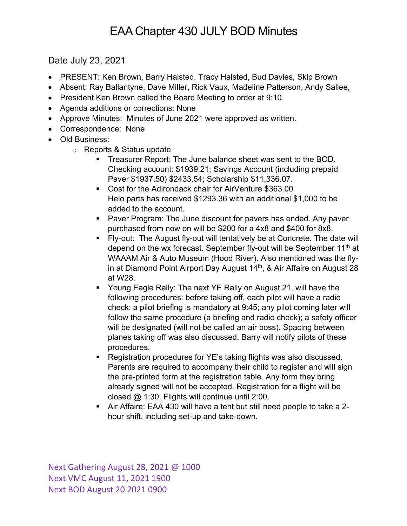## EAA Chapter 430 JULY BOD Minutes

Date July 23, 2021

- PRESENT: Ken Brown, Barry Halsted, Tracy Halsted, Bud Davies, Skip Brown
- Absent: Ray Ballantyne, Dave Miller, Rick Vaux, Madeline Patterson, Andy Sallee,
- President Ken Brown called the Board Meeting to order at 9:10.
- Agenda additions or corrections: None
- Approve Minutes: Minutes of June 2021 were approved as written.
- Correspondence: None
- Old Business:
	- o Reports & Status update
		- **Treasurer Report: The June balance sheet was sent to the BOD.** Checking account: \$1939.21; Savings Account (including prepaid Paver \$1937.50) \$2433.54; Scholarship \$11,336.07.
		- Cost for the Adirondack chair for AirVenture \$363.00 Helo parts has received \$1293.36 with an additional \$1,000 to be added to the account.
		- Paver Program: The June discount for pavers has ended. Any paver purchased from now on will be \$200 for a 4x8 and \$400 for 8x8.
		- § Fly-out: The August fly-out will tentatively be at Concrete. The date will depend on the wx forecast. September fly-out will be September  $11<sup>th</sup>$  at WAAAM Air & Auto Museum (Hood River). Also mentioned was the flyin at Diamond Point Airport Day August 14<sup>th</sup>, & Air Affaire on August 28 at W28.
		- § Young Eagle Rally: The next YE Rally on August 21, will have the following procedures: before taking off, each pilot will have a radio check; a pilot briefing is mandatory at 9:45; any pilot coming later will follow the same procedure (a briefing and radio check); a safety officer will be designated (will not be called an air boss). Spacing between planes taking off was also discussed. Barry will notify pilots of these procedures.
		- Registration procedures for YE's taking flights was also discussed. Parents are required to accompany their child to register and will sign the pre-printed form at the registration table. Any form they bring already signed will not be accepted. Registration for a flight will be closed @ 1:30. Flights will continue until 2:00.
		- § Air Affaire: EAA 430 will have a tent but still need people to take a 2 hour shift, including set-up and take-down.

Next Gathering August 28, 2021 @ 1000 Next VMC August 11, 2021 1900 Next BOD August 20 2021 0900